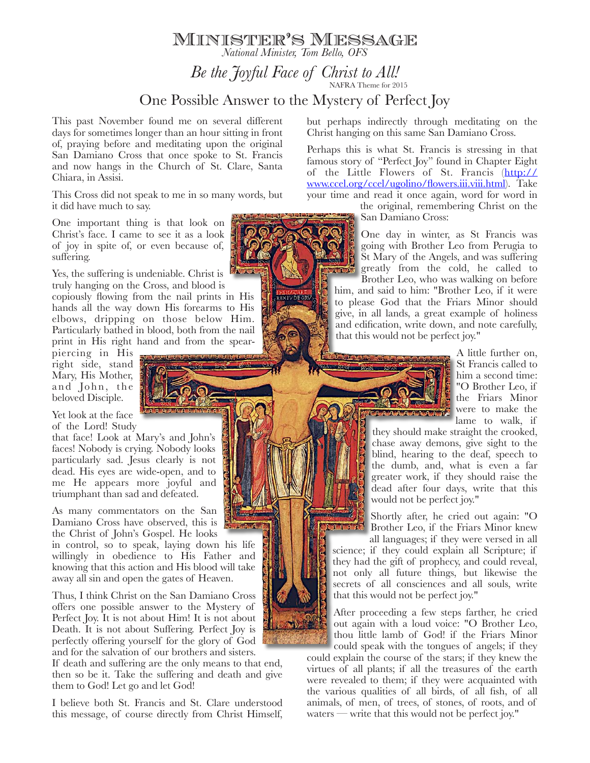*Be the Joyful Face of Christ to All! National Minister, Tom Bello, OFS*

Minister's Message

## One Possible Answer to the Mystery of Perfect Joy

This past November found me on several different days for sometimes longer than an hour sitting in front of, praying before and meditating upon the original San Damiano Cross that once spoke to St. Francis and now hangs in the Church of St. Clare, Santa Chiara, in Assisi.

This Cross did not speak to me in so many words, but it did have much to say.

One important thing is that look on Christ's face. I came to see it as a look of joy in spite of, or even because of, suffering.

Yes, the suffering is undeniable. Christ is truly hanging on the Cross, and blood is

copiously flowing from the nail prints in His hands all the way down His forearms to His elbows, dripping on those below Him. Particularly bathed in blood, both from the nail print in His right hand and from the spear-

piercing in His right side, stand Mary, His Mother, and John, the beloved Disciple.

Yet look at the face of the Lord! Study

that face! Look at Mary's and John's faces! Nobody is crying. Nobody looks particularly sad. Jesus clearly is not dead. His eyes are wide-open, and to me He appears more joyful and triumphant than sad and defeated.

As many commentators on the San Damiano Cross have observed, this is the Christ of John's Gospel. He looks in control, so to speak, laying down his life willingly in obedience to His Father and knowing that this action and His blood will take away all sin and open the gates of Heaven.

Thus, I think Christ on the San Damiano Cross offers one possible answer to the Mystery of Perfect Joy. It is not about Him! It is not about Death. It is not about Suffering. Perfect Joy is perfectly offering yourself for the glory of God and for the salvation of our brothers and sisters.

If death and suffering are the only means to that end, then so be it. Take the suffering and death and give them to God! Let go and let God!

I believe both St. Francis and St. Clare understood this message, of course directly from Christ Himself, but perhaps indirectly through meditating on the Christ hanging on this same San Damiano Cross.

Perhaps this is what St. Francis is stressing in that famous story of "Perfect Joy" found in Chapter Eight [of the Little Flowers of St. Francis \(http://](http://www.ccel.org/ccel/ugolino/flowers.iii.viii.html) www.ccel.org/ccel/ugolino/flowers.iii.viii.html). Take your time and read it once again, word for word in

> the original, remembering Christ on the San Damiano Cross:

One day in winter, as St Francis was going with Brother Leo from Perugia to St Mary of the Angels, and was suffering greatly from the cold, he called to Brother Leo, who was walking on before him, and said to him: "Brother Leo, if it were

to please God that the Friars Minor should give, in all lands, a great example of holiness and edification, write down, and note carefully, that this would not be perfect joy."

**P. A. A. A. A. A. A. A. A. A. A. A.** 

A little further on, St Francis called to him a second time: "O Brother Leo, if the Friars Minor were to make the lame to walk, if

they should make straight the crooked, chase away demons, give sight to the blind, hearing to the deaf, speech to the dumb, and, what is even a far greater work, if they should raise the dead after four days, write that this would not be perfect joy."

Shortly after, he cried out again: "O Brother Leo, if the Friars Minor knew all languages; if they were versed in all

science; if they could explain all Scripture; if they had the gift of prophecy, and could reveal, not only all future things, but likewise the secrets of all consciences and all souls, write that this would not be perfect joy."

After proceeding a few steps farther, he cried out again with a loud voice: "O Brother Leo, thou little lamb of God! if the Friars Minor could speak with the tongues of angels; if they

could explain the course of the stars; if they knew the virtues of all plants; if all the treasures of the earth were revealed to them; if they were acquainted with the various qualities of all birds, of all fish, of all animals, of men, of trees, of stones, of roots, and of waters — write that this would not be perfect joy."